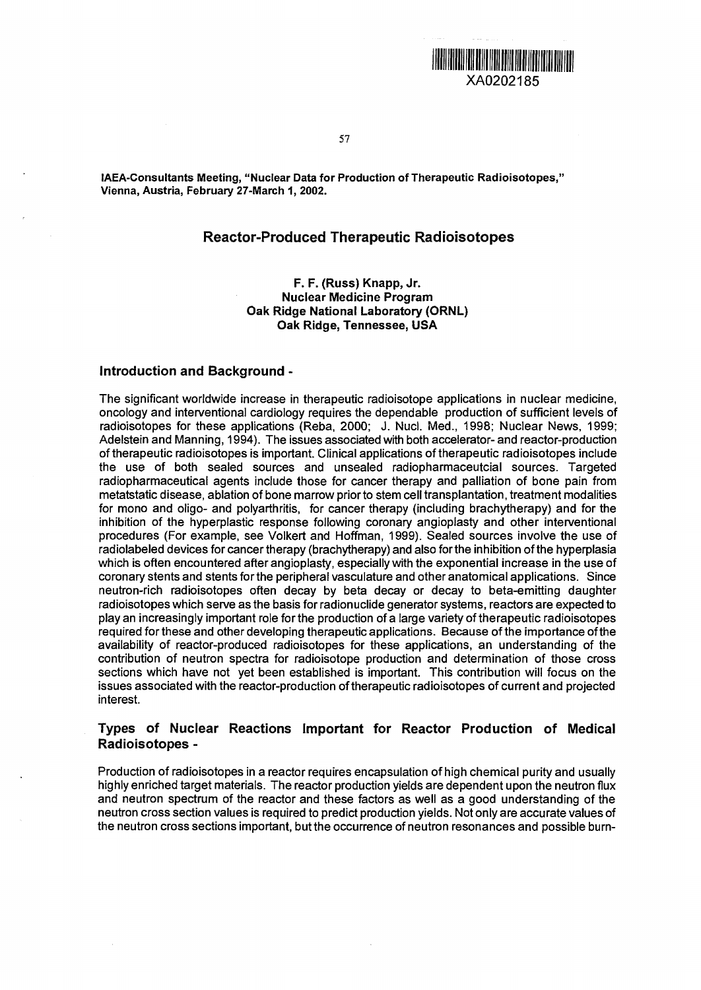**THE REAL PROPERTY OF A PROPERTY OF A PROPERTY OF A PROPERTY OF A PROPERTY OF A PROPERTY OF A PROPERTY OF A PRO** XA0202185

**57**

IAEA-Consultants Meeting, "Nuclear Data for Production of Therapeutic Radioisotopes," Vienna, Austria, February 27-March 1, 2002.

## Reactor-Produced Therapeutic Radioisotopes

#### **F. F. (Russ) Knapp, Jr. Nuclear Medicine Program Oak Ridge National Laboratory (ORNL) Oak Ridge, Tennessee, USA**

#### **Introduction and Background -**

The significant worldwide increase in therapeutic radioisotope applications in nuclear medicine, oncology and interventional cardiology requires the dependable production of sufficient levels of radioisotopes for these applications (Reba, 2000; J. Nucl. Med., 1998; Nuclear News, 1999; Adelstein and Manning, 1994). The issues associated with both accelerator- and reactor-production of therapeutic radioisotopes is important. Clinical applications of therapeutic radioisotopes include the use of both sealed sources and unsealed radiopharmaceutcial sources. Targeted radiopharmaceutical agents include those for cancer therapy and palliation of bone pain from metatstatic disease, ablation of bone marrow prior to stem cell transplantation, treatment modalities for mono and oligo- and polyarthritis, for cancer therapy (including brachytherapy) and for the inhibition of the hyperplastic response following coronary angioplasty and other interventional procedures (For example, see Volkert and Hoffman, 1999). Sealed sources involve the use of radiolabeled devices for cancer therapy (brachytherapy) and also for the inhibition of the hyperplasia which is often encountered after angioplasty, especially with the exponential increase in the use of coronary stents and stents for the peripheral vasculature and other anatomical applications. Since neutron-rich radioisotopes often decay by beta decay or decay to beta-emitting daughter radioisotopes which serve as the basis for radionuclide generator systems, reactors are expected to play an increasingly important role for the production of **a** large variety of therapeutic radioisotopes required for these and other developing therapeutic applications. Because of the importance of the availability of reactor-produced radioisotopes for these applications, an understanding of the contribution of neutron spectra for radioisotope production and determination of those cross sections which have not yet been established is important. This contribution will focus on the issues associated with the reactor-production of therapeutic radioisotopes of current and projected interest.

# **Types of Nuclear Reactions Important for Reactor Production of Medical Radioisotopes** -

Production of radioisotopes in a reactor requires encapsulation of high chemical purity and usually highly enriched target materials. The reactor production yields are dependent upon the neutron flux and neutron spectrum of the reactor and these factors as well as a good understanding of the neutron cross section values is required to predict production yields. Not only are accurate values of the neutron cross sections important, but the occurrence of neutron resonances and possible bum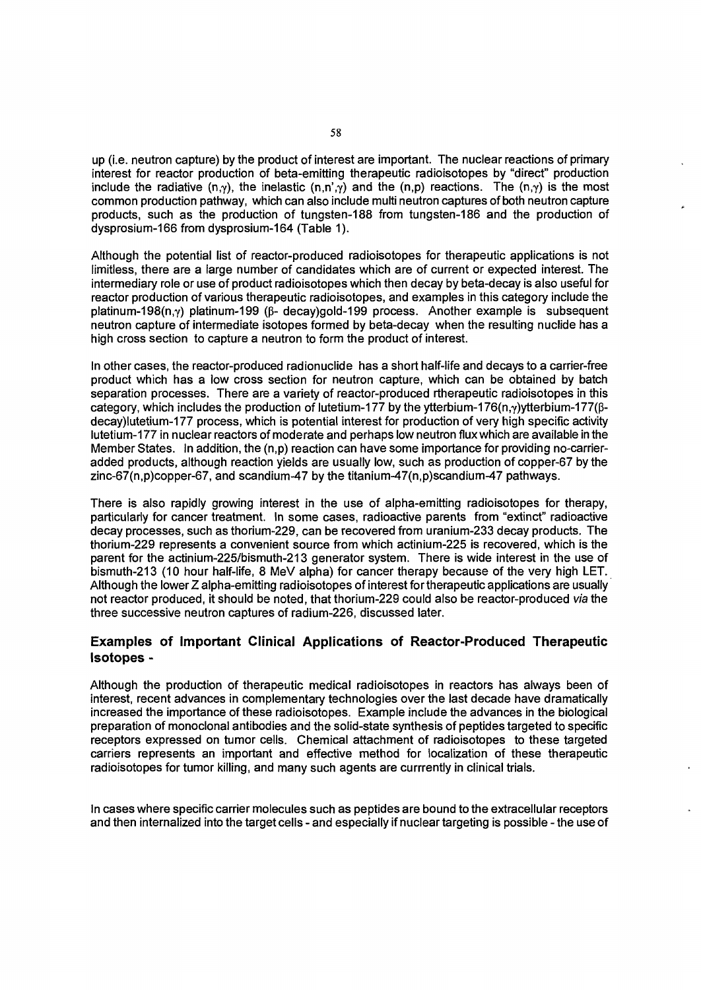up (i.e. neutron capture) by the product of interest are important. The nuclear reactions of primary interest for reactor production of beta-emitting therapeutic radioisotopes by "direct" production include the radiative  $(n,y)$ , the inelastic  $(n,n',y)$  and the  $(n,p)$  reactions. The  $(n,y)$  is the most common production pathway, which can also include multi neutron captures of both neutron capture products, such as the production of tungsten-188 from tungsten-186 and the production of dysprosium-166 from dysprosium-164 (Table 1).

Although the potential list of reactor-produced radioisotopes for therapeutic applications is not limitless, there are a large number of candidates which are of current or expected interest. The intermediary role or use of product radioisotopes which then decay by beta-decay is also useful for reactor production of various therapeutic radioisotopes, and examples in this category include the platinum-198(n, $\gamma$ ) platinum-199 ( $\beta$ - decay)gold-199 process. Another example is subsequent neutron capture of intermediate isotopes formed by beta-decay when the resulting nuclide has a high cross section to capture a neutron to form the product of interest.

In other cases, the reactor-produced radionuclide has a short half-life and decays to a carrier-free product which has a low cross section for neutron capture, which can be obtained by batch separation processes. There are a variety of reactor-produced rtherapeutic radioisotopes in this category, which includes the production of lutetium-177 by the ytterbium-176(n,y)ytterbium-177( $\beta$ decay)lutetium-177 process, which is potential interest for production of very high specific activity lutetium-177 in nuclear reactors of moderate and perhaps low neutron flux which are available in the Member States. In addition, the (n,p) reaction can have some importance for providing no-carrieradded products, although reaction yields are usually low, such as production of copper-67 by the zinc-67(n,p)copper-67, and scandium-47 by the titanium-47(n,p)scandium-47 pathways.

There is also rapidly growing interest in the use of alpha-emitting radioisotopes for therapy, particularly for cancer treatment. In some cases, radioactive parents from "extinct" radioactive decay processes, such as thorium-229, can be recovered from uranium-233 decay products. The thorium-229 represents a convenient source from which actinium-225 is recovered, which is the parent for the actinium-225/bismuth-213 generator system. There is wide interest in the use of bismuth-213 (10 hour half-life, 8 MeV alpha) for cancer therapy because of the very high LET. Although the lower Z alpha-emitting radioisotopes of interest for therapeutic applications are usually not reactor produced, it should be noted, that thorium-229 could also be reactor-produced via the three successive neutron captures of radium-226, discussed later.

## **Examples of Important Clinical Applications of Reactor-Produced Therapeutic Isotopes** -

Although the production of therapeutic medical radioisotopes in reactors has always been of interest, recent advances in complementary technologies over the last decade have dramatically increased the importance of these radioisotopes. Example include the advances in the biological preparation of monoclonal antibodies and the solid-state synthesis of peptides targeted to specific receptors expressed on tumor cells. Chemical attachment of radioisotopes to these targeted carriers represents an important and effective method for localization of these therapeutic radioisotopes for tumor killing, and many such agents are currrently in clinical trials.

In cases where specific carrier molecules such as peptides are bound to the extracellular receptors and then internalized into the target cells - and especially if nuclear targeting is possible - the use of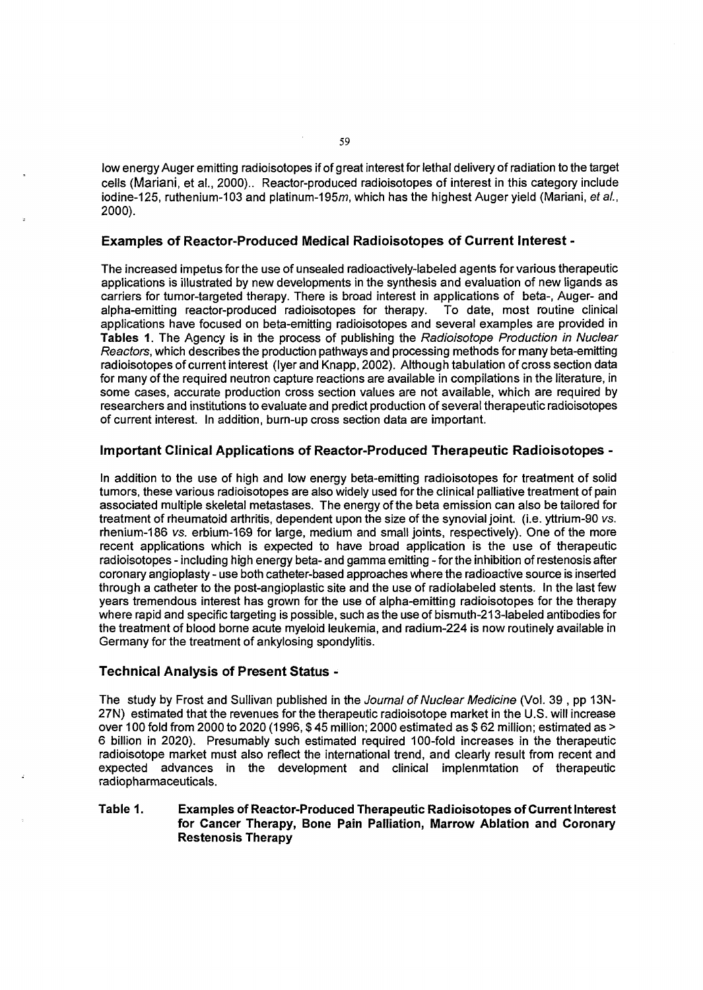low energy Auger emitting radioisotopes if of great interest for lethal delivery of radiation to the target cells (Mariani, et al., 2000).. Reactor-produced radioisotopes of interest in this category include iodine-125, ruthenium-103 and platinum-195m, which has the highest Auger yield (Mariani, et al., 2000).

## **Examples of Reactor-Produced Medical Radioisotopes of Current Interest** -

The increased impetus for the use of unsealed radioactively-labeled agents for various therapeutic applications is illustrated by new developments in the synthesis and evaluation of new ligands as carriers for tumor-targeted therapy. There is broad interest in applications of beta-, Auger- and alpha-emitting reactor-produced radioisotopes for therapy. To date, most routine clinical applications have focused on beta-emitting radioisotopes and several examples are provided in **Tables 1**. The Agency is in the process of publishing the Radioisotope Production in Nuclear Reactors, which describes the production pathways and processing methods for many beta-emitting radioisotopes of current interest (Iyer and Knapp, 2002). Although tabulation of cross section data for many of the required neutron capture reactions are available in compilations in the literature, in some cases, accurate production cross section values are not available, which are required by researchers and institutions to evaluate and predict production of several therapeutic radioisotopes of current interest. In addition, burn-up cross section data are important.

## **Important Clinical Applications of Reactor-Produced Therapeutic Radioisotopes** -

In addition to the use of high and low energy beta-emitting radioisotopes for treatment of solid tumors, these various radioisotopes are also widely used forthe clinical palliative treatment of pain associated multiple skeletal metastases. The energy of the beta emission can also be tailored for treatment of rheumatoid arthritis, dependent upon the size of the synovial joint, (i.e. yttrium-90 vs. rhenium-186 vs. erbium-169 for large, medium and small joints, respectively). One of the more recent applications which is expected to have broad application is the use of therapeutic radioisotopes - including high energy beta- and gamma emitting - for the inhibition of restenosis after coronary angioplasty - use both catheter-based approaches where the radioactive source is inserted through a catheter to the post-angioplastic site and the use of radiolabeled stents. In the last few years tremendous interest has grown for the use of alpha-emitting radioisotopes for the therapy where rapid and specific targeting is possible, such as the use of bismuth-213-labeled antibodies for the treatment of blood borne acute myeloid leukemia, and radium-224 is now routinely available in Germany for the treatment of ankylosing spondylitis.

#### **Technical Analysis of Present Status** -

The study by Frost and Sullivan published in the Journal of Nuclear Medicine (Vol. 39, pp 13N-27N) estimated that the revenues for the therapeutic radioisotope market in the U.S. will increase over 100 fold from 2000 to 2020 (1996, \$ 45 million; 2000 estimated as \$ 62 million; estimated as > 6 billion in 2020). Presumably such estimated required 100-fold increases in the therapeutic radioisotope market must also reflect the international trend, and clearly result from recent and expected advances in the development and clinical implenmtation of therapeutic radiopharmaceuticals.

## **Table 1. Examples of Reactor-Produced Therapeutic Radioisotopes of Current Interest for Cancer Therapy, Bone Pain Palliation, Marrow Ablation and Coronary Restenosis Therapy**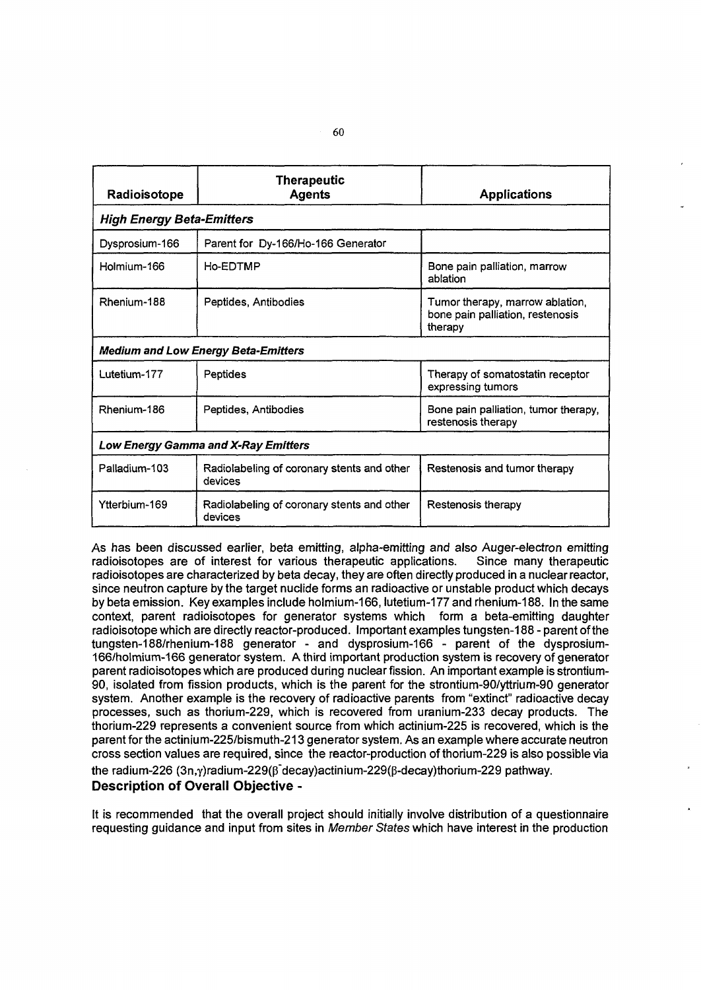| Radioisotope                               | <b>Therapeutic</b><br><b>Agents</b>                   | <b>Applications</b>                                                            |
|--------------------------------------------|-------------------------------------------------------|--------------------------------------------------------------------------------|
| <b>High Energy Beta-Emitters</b>           |                                                       |                                                                                |
| Dysprosium-166                             | Parent for Dy-166/Ho-166 Generator                    |                                                                                |
| Holmium-166                                | Ho-EDTMP                                              | Bone pain palliation, marrow<br>ablation                                       |
| Rhenium-188                                | Peptides, Antibodies                                  | Tumor therapy, marrow ablation,<br>bone pain palliation, restenosis<br>therapy |
| <b>Medium and Low Energy Beta-Emitters</b> |                                                       |                                                                                |
| Lutetium-177                               | Peptides                                              | Therapy of somatostatin receptor<br>expressing tumors                          |
| Rhenium-186                                | Peptides, Antibodies                                  | Bone pain palliation, tumor therapy,<br>restenosis therapy                     |
| Low Energy Gamma and X-Ray Emitters        |                                                       |                                                                                |
| Palladium-103                              | Radiolabeling of coronary stents and other<br>devices | Restenosis and tumor therapy                                                   |
| Ytterbium-169                              | Radiolabeling of coronary stents and other<br>devices | Restenosis therapy                                                             |

As has been discussed earlier, beta emitting, alpha-emitting and also Auger-electron emitting radioisotopes are of interest for various therapeutic applications. Since many therapeutic radioisotopes are characterized by beta decay, they are often directly produced in a nuclear reactor, since neutron capture by the target nuclide forms an radioactive or unstable product which decays by beta emission. Key examples include holmium-166, lutetium-177 and rhenium-188. In the same context, parent radioisotopes for generator systems which form a beta-emitting daughter radioisotope which are directly reactor-produced. Important examples tungsten-188 - parent of the tungsten-188/rhenium-188 generator - and dysprosium-166 - parent of the dysprosium-166/holmium-166 generator system. Athird important production system is recovery of generator parent radioisotopes which are produced during nuclear fission. An important example is strontium-90, isolated from fission products, which is the parent for the strontium-90/yttrium-90 generator system. Another example is the recovery of radioactive parents from "extinct" radioactive decay processes, such as thorium-229, which is recovered from uranium-233 decay products. The thorium-229 represents a convenient source from which actinium-225 is recovered, which is the parent for the actinium-225/bismuth-213 generator system. As an example where accurate neutron cross section values are required, since the reactor-production of thorium-229 is also possible via the radium-226  $(3n,y)$ radium-229 $(β$ decay)actinium-229 $(β$ -decay)thorium-229 pathway. **Description of Overall Objective** -

It is recommended that the overall project should initially involve distribution of a questionnaire requesting guidance and input from sites in Member States which have interest in the production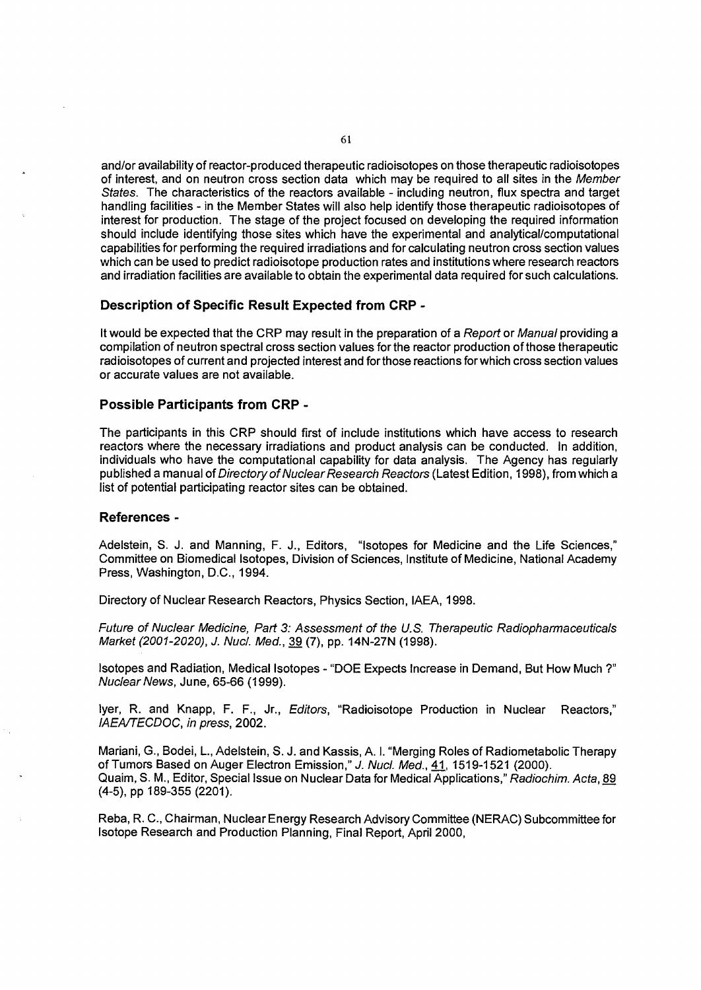and/or availability of reactor-produced therapeutic radioisotopes on those therapeutic radioisotopes of interest, and on neutron cross section data which may be required to all sites in the Member States. The characteristics of the reactors available - including neutron, flux spectra and target handling facilities - in the Member States will also help identify those therapeutic radioisotopes of interest for production. The stage of the project focused on developing the required information should include identifying those sites which have the experimental and analytical/computational capabilities for performing the required irradiations and for calculating neutron cross section values which can be used to predict radioisotope production rates and institutions where research reactors and irradiation facilities are available to obtain the experimental data required for such calculations.

#### **Description of Specific Result Expected from CRP** -

It would be expected that the CRP may result in the preparation of a Report or Manual providing a compilation of neutron spectral cross section values for the reactor production of those therapeutic radioisotopes of current and projected interest and for those reactions for which cross section values or accurate values are not available.

#### **Possible Participants from CRP** -

The participants in this CRP should first of include institutions which have access to research reactors where the necessary irradiations and product analysis can be conducted. In addition, individuals who have the computational capability for data analysis. The Agency has regularly published a manual of Directory of Nuclear Research Reactors (Latest Edition, 1998), from which a list of potential participating reactor sites can be obtained.

#### **References** -

Adelstein, S. J. and Manning, F. J., Editors, "Isotopes for Medicine and the Life Sciences," Committee on Biomedical Isotopes, Division of Sciences, Institute of Medicine, National Academy Press, Washington, D.C., 1994.

Directory of Nuclear Research Reactors, Physics Section, IAEA, 1998.

Future of Nuclear Medicine, Part 3: Assessment of the U.S. Therapeutic Radiopharmaceuticals Market (2001-2020), J. Nucl. Med., 39 (7), pp. 14N-27N (1998).

Isotopes and Radiation, Medical Isotopes - "DOE Expects Increase in Demand, But How Much ?" Nuclear News, June, 65-66 (1999).

Iyer, R. and Knapp, F. F., Jr., Editors, "Radioisotope Production in Nuclear Reactors," IAEA/TECDOC, in press, 2002.

Mariani, G., Bodei, L., Adelstein, S. J. and Kassis, A. I. "Merging Roles of Radiometabolic Therapy of Tumors Based on Auger Electron Emission," J. Nucl. Med., 41, 1519-1521 (2000). Quaim, S. M., Editor, Special Issue on Nuclear Data for Medical Applications," Radiochim. Acta, 89 (4-5), pp 189-355 (2201).

Reba, R. C, Chairman, Nuclear Energy Research Advisory Committee (NERAC) Subcommittee for Isotope Research and Production Planning, Final Report, April 2000,